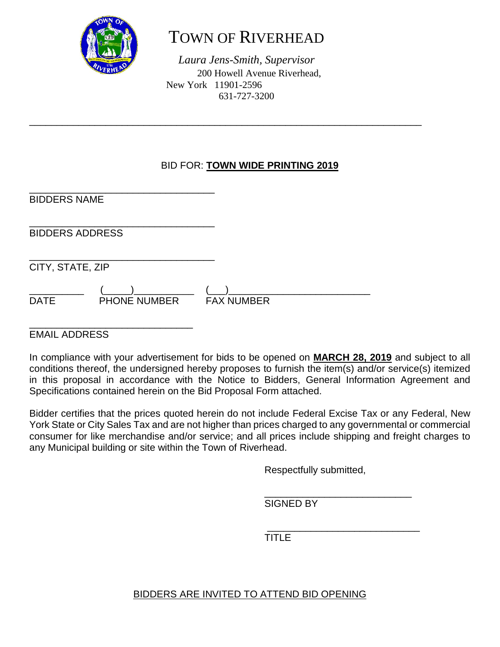

# TOWN OF RIVERHEAD

*Laura Jens-Smith, Supervisor* 200 Howell Avenue Riverhead, New York 11901-2596 631-727-3200

\_\_\_\_\_\_\_\_\_\_\_\_\_\_\_\_\_\_\_\_\_\_\_\_\_\_\_\_\_\_\_\_\_\_\_\_\_\_\_\_\_\_\_\_\_\_\_\_\_\_\_\_\_\_\_\_\_\_\_\_\_\_\_\_\_\_\_\_\_\_\_\_

#### BID FOR: **TOWN WIDE PRINTING 2019**

\_\_\_\_\_\_\_\_\_\_\_\_\_\_\_\_\_\_\_\_\_\_\_\_\_\_\_\_\_\_\_\_\_\_ BIDDERS NAME

\_\_\_\_\_\_\_\_\_\_\_\_\_\_\_\_\_\_\_\_\_\_\_\_\_\_\_\_\_\_\_\_\_\_ BIDDERS ADDRESS

\_\_\_\_\_\_\_\_\_\_\_\_\_\_\_\_\_\_\_\_\_\_\_\_\_\_\_\_\_\_\_\_\_\_ CITY, STATE, ZIP

\_\_\_\_\_\_\_\_\_\_ (\_\_\_\_\_)\_\_\_\_\_\_\_\_\_\_\_ (\_\_\_)\_\_\_\_\_\_\_\_\_\_\_\_\_\_\_\_\_\_\_\_\_\_\_\_\_\_ DATE PHONE NUMBER FAX NUMBER

\_\_\_\_\_\_\_\_\_\_\_\_\_\_\_\_\_\_\_\_\_\_\_\_\_\_\_\_\_\_ EMAIL ADDRESS

In compliance with your advertisement for bids to be opened on **MARCH 28, 2019** and subject to all conditions thereof, the undersigned hereby proposes to furnish the item(s) and/or service(s) itemized in this proposal in accordance with the Notice to Bidders, General Information Agreement and Specifications contained herein on the Bid Proposal Form attached.

Bidder certifies that the prices quoted herein do not include Federal Excise Tax or any Federal, New York State or City Sales Tax and are not higher than prices charged to any governmental or commercial consumer for like merchandise and/or service; and all prices include shipping and freight charges to any Municipal building or site within the Town of Riverhead.

Respectfully submitted,

\_\_\_\_\_\_\_\_\_\_\_\_\_\_\_\_\_\_\_\_\_\_\_\_\_\_\_ SIGNED BY

 $\frac{1}{2}$  ,  $\frac{1}{2}$  ,  $\frac{1}{2}$  ,  $\frac{1}{2}$  ,  $\frac{1}{2}$  ,  $\frac{1}{2}$  ,  $\frac{1}{2}$  ,  $\frac{1}{2}$  ,  $\frac{1}{2}$  ,  $\frac{1}{2}$  ,  $\frac{1}{2}$  ,  $\frac{1}{2}$  ,  $\frac{1}{2}$  ,  $\frac{1}{2}$  ,  $\frac{1}{2}$  ,  $\frac{1}{2}$  ,  $\frac{1}{2}$  ,  $\frac{1}{2}$  ,  $\frac{1$ TITLE

#### BIDDERS ARE INVITED TO ATTEND BID OPENING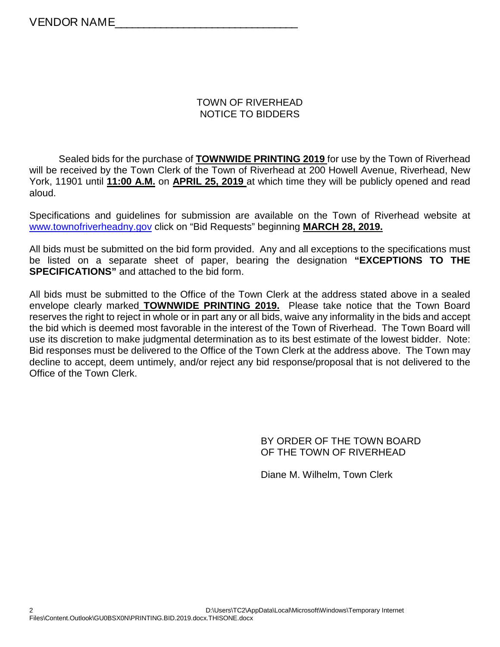#### TOWN OF RIVERHEAD NOTICE TO BIDDERS

Sealed bids for the purchase of **TOWNWIDE PRINTING 2019** for use by the Town of Riverhead will be received by the Town Clerk of the Town of Riverhead at 200 Howell Avenue, Riverhead, New York, 11901 until **11:00 A.M.** on **APRIL 25, 2019** at which time they will be publicly opened and read aloud.

Specifications and guidelines for submission are available on the Town of Riverhead website at [www.townofriverheadny.gov](http://www.townofriverheadny.gov/) click on "Bid Requests" beginning **MARCH 28, 2019.**

All bids must be submitted on the bid form provided. Any and all exceptions to the specifications must be listed on a separate sheet of paper, bearing the designation **"EXCEPTIONS TO THE SPECIFICATIONS"** and attached to the bid form.

All bids must be submitted to the Office of the Town Clerk at the address stated above in a sealed envelope clearly marked **TOWNWIDE PRINTING 2019.** Please take notice that the Town Board reserves the right to reject in whole or in part any or all bids, waive any informality in the bids and accept the bid which is deemed most favorable in the interest of the Town of Riverhead. The Town Board will use its discretion to make judgmental determination as to its best estimate of the lowest bidder. Note: Bid responses must be delivered to the Office of the Town Clerk at the address above. The Town may decline to accept, deem untimely, and/or reject any bid response/proposal that is not delivered to the Office of the Town Clerk.

> BY ORDER OF THE TOWN BOARD OF THE TOWN OF RIVERHEAD

Diane M. Wilhelm, Town Clerk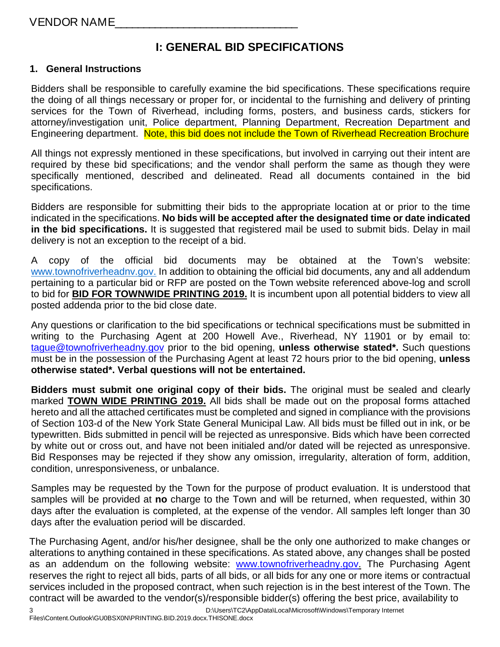### **I: GENERAL BID SPECIFICATIONS**

#### **1. General Instructions**

Bidders shall be responsible to carefully examine the bid specifications. These specifications require the doing of all things necessary or proper for, or incidental to the furnishing and delivery of printing services for the Town of Riverhead, including forms, posters, and business cards, stickers for attorney/investigation unit, Police department, Planning Department, Recreation Department and Engineering department. Note, this bid does not include the Town of Riverhead Recreation Brochure

All things not expressly mentioned in these specifications, but involved in carrying out their intent are required by these bid specifications; and the vendor shall perform the same as though they were specifically mentioned, described and delineated. Read all documents contained in the bid specifications.

Bidders are responsible for submitting their bids to the appropriate location at or prior to the time indicated in the specifications. **No bids will be accepted after the designated time or date indicated in the bid specifications.** It is suggested that registered mail be used to submit bids. Delay in mail delivery is not an exception to the receipt of a bid.

A copy of the official bid documents may be obtained at the Town's website: [www.townofriverheadnv.gov.](http://www.townofriverheadnv.gov/) In addition to obtaining the official bid documents, any and all addendum pertaining to a particular bid or RFP are posted on the Town website referenced above-log and scroll to bid for **BID FOR TOWNWIDE PRINTING 2019.** It is incumbent upon all potential bidders to view all posted addenda prior to the bid close date.

Any questions or clarification to the bid specifications or technical specifications must be submitted in writing to the Purchasing Agent at 200 Howell Ave., Riverhead, NY 11901 or by email to: [tague@townofriverheadny.gov](mailto:tague@townofriverheadny.gov) prior to the bid opening, **unless otherwise stated\*.** Such questions must be in the possession of the Purchasing Agent at least 72 hours prior to the bid opening, **unless otherwise stated\*. Verbal questions will not be entertained.** 

**Bidders must submit one original copy of their bids.** The original must be sealed and clearly marked **TOWN WIDE PRINTING 2019.** All bids shall be made out on the proposal forms attached hereto and all the attached certificates must be completed and signed in compliance with the provisions of Section 103-d of the New York State General Municipal Law. All bids must be filled out in ink, or be typewritten. Bids submitted in pencil will be rejected as unresponsive. Bids which have been corrected by white out or cross out, and have not been initialed and/or dated will be rejected as unresponsive. Bid Responses may be rejected if they show any omission, irregularity, alteration of form, addition, condition, unresponsiveness, or unbalance.

Samples may be requested by the Town for the purpose of product evaluation. It is understood that samples will be provided at **no** charge to the Town and will be returned, when requested, within 30 days after the evaluation is completed, at the expense of the vendor. All samples left longer than 30 days after the evaluation period will be discarded.

The Purchasing Agent, and/or his/her designee, shall be the only one authorized to make changes or alterations to anything contained in these specifications. As stated above, any changes shall be posted as an addendum on the following website: [www.townofriverheadny.gov.](http://www.townofriverheadny.gov/) The Purchasing Agent reserves the right to reject all bids, parts of all bids, or all bids for any one or more items or contractual services included in the proposed contract, when such rejection is in the best interest of the Town. The contract will be awarded to the vendor(s)/responsible bidder(s) offering the best price, availability to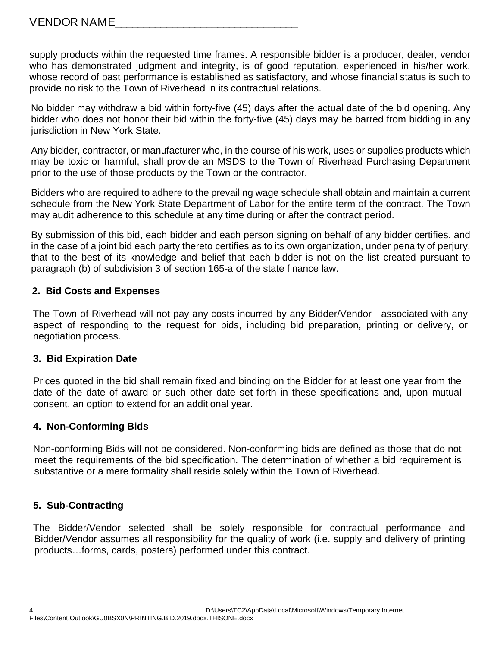supply products within the requested time frames. A responsible bidder is a producer, dealer, vendor who has demonstrated judgment and integrity, is of good reputation, experienced in his/her work, whose record of past performance is established as satisfactory, and whose financial status is such to provide no risk to the Town of Riverhead in its contractual relations.

No bidder may withdraw a bid within forty-five (45) days after the actual date of the bid opening. Any bidder who does not honor their bid within the forty-five (45) days may be barred from bidding in any jurisdiction in New York State.

Any bidder, contractor, or manufacturer who, in the course of his work, uses or supplies products which may be toxic or harmful, shall provide an MSDS to the Town of Riverhead Purchasing Department prior to the use of those products by the Town or the contractor.

Bidders who are required to adhere to the prevailing wage schedule shall obtain and maintain a current schedule from the New York State Department of Labor for the entire term of the contract. The Town may audit adherence to this schedule at any time during or after the contract period.

By submission of this bid, each bidder and each person signing on behalf of any bidder certifies, and in the case of a joint bid each party thereto certifies as to its own organization, under penalty of perjury, that to the best of its knowledge and belief that each bidder is not on the list created pursuant to paragraph (b) of subdivision 3 of section 165-a of the state finance law.

#### **2. Bid Costs and Expenses**

 The Town of Riverhead will not pay any costs incurred by any Bidder/Vendor associated with any aspect of responding to the request for bids, including bid preparation, printing or delivery, or negotiation process.

#### **3. Bid Expiration Date**

Prices quoted in the bid shall remain fixed and binding on the Bidder for at least one year from the date of the date of award or such other date set forth in these specifications and, upon mutual consent, an option to extend for an additional year.

#### **4. Non-Conforming Bids**

Non-conforming Bids will not be considered. Non-conforming bids are defined as those that do not meet the requirements of the bid specification. The determination of whether a bid requirement is substantive or a mere formality shall reside solely within the Town of Riverhead.

#### **5. Sub-Contracting**

The Bidder/Vendor selected shall be solely responsible for contractual performance and Bidder/Vendor assumes all responsibility for the quality of work (i.e. supply and delivery of printing products…forms, cards, posters) performed under this contract.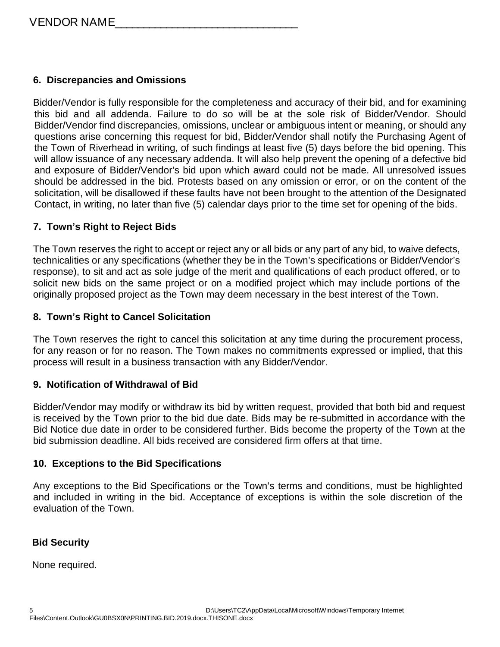#### **6. Discrepancies and Omissions**

Bidder/Vendor is fully responsible for the completeness and accuracy of their bid, and for examining this bid and all addenda. Failure to do so will be at the sole risk of Bidder/Vendor. Should Bidder/Vendor find discrepancies, omissions, unclear or ambiguous intent or meaning, or should any questions arise concerning this request for bid, Bidder/Vendor shall notify the Purchasing Agent of the Town of Riverhead in writing, of such findings at least five (5) days before the bid opening. This will allow issuance of any necessary addenda. It will also help prevent the opening of a defective bid and exposure of Bidder/Vendor's bid upon which award could not be made. All unresolved issues should be addressed in the bid. Protests based on any omission or error, or on the content of the solicitation, will be disallowed if these faults have not been brought to the attention of the Designated Contact, in writing, no later than five (5) calendar days prior to the time set for opening of the bids.

#### **7. Town's Right to Reject Bids**

The Town reserves the right to accept or reject any or all bids or any part of any bid, to waive defects, technicalities or any specifications (whether they be in the Town's specifications or Bidder/Vendor's response), to sit and act as sole judge of the merit and qualifications of each product offered, or to solicit new bids on the same project or on a modified project which may include portions of the originally proposed project as the Town may deem necessary in the best interest of the Town.

#### **8. Town's Right to Cancel Solicitation**

The Town reserves the right to cancel this solicitation at any time during the procurement process, for any reason or for no reason. The Town makes no commitments expressed or implied, that this process will result in a business transaction with any Bidder/Vendor.

#### **9. Notification of Withdrawal of Bid**

Bidder/Vendor may modify or withdraw its bid by written request, provided that both bid and request is received by the Town prior to the bid due date. Bids may be re-submitted in accordance with the Bid Notice due date in order to be considered further. Bids become the property of the Town at the bid submission deadline. All bids received are considered firm offers at that time.

#### **10. Exceptions to the Bid Specifications**

Any exceptions to the Bid Specifications or the Town's terms and conditions, must be highlighted and included in writing in the bid. Acceptance of exceptions is within the sole discretion of the evaluation of the Town.

#### **Bid Security**

None required.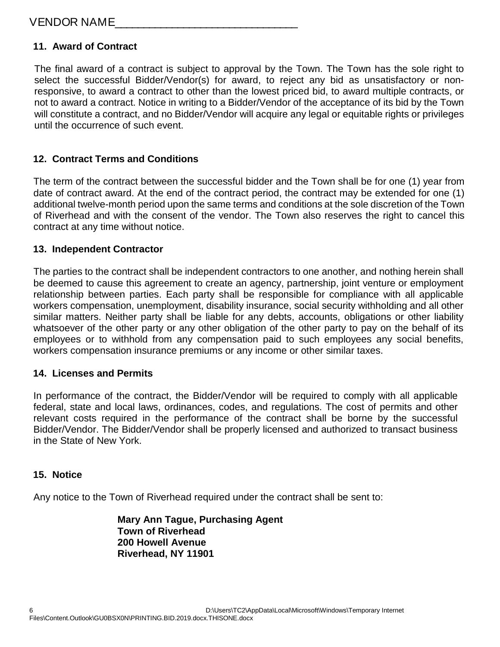#### VENDOR NAME\_\_\_\_\_\_\_\_\_\_\_\_\_\_\_\_\_\_\_\_\_\_\_\_\_\_\_\_\_\_\_\_

#### **11. Award of Contract**

The final award of a contract is subject to approval by the Town. The Town has the sole right to select the successful Bidder/Vendor(s) for award, to reject any bid as unsatisfactory or nonresponsive, to award a contract to other than the lowest priced bid, to award multiple contracts, or not to award a contract. Notice in writing to a Bidder/Vendor of the acceptance of its bid by the Town will constitute a contract, and no Bidder/Vendor will acquire any legal or equitable rights or privileges until the occurrence of such event.

#### **12. Contract Terms and Conditions**

The term of the contract between the successful bidder and the Town shall be for one (1) year from date of contract award. At the end of the contract period, the contract may be extended for one (1) additional twelve-month period upon the same terms and conditions at the sole discretion of the Town of Riverhead and with the consent of the vendor. The Town also reserves the right to cancel this contract at any time without notice.

#### **13. Independent Contractor**

The parties to the contract shall be independent contractors to one another, and nothing herein shall be deemed to cause this agreement to create an agency, partnership, joint venture or employment relationship between parties. Each party shall be responsible for compliance with all applicable workers compensation, unemployment, disability insurance, social security withholding and all other similar matters. Neither party shall be liable for any debts, accounts, obligations or other liability whatsoever of the other party or any other obligation of the other party to pay on the behalf of its employees or to withhold from any compensation paid to such employees any social benefits, workers compensation insurance premiums or any income or other similar taxes.

#### **14. Licenses and Permits**

In performance of the contract, the Bidder/Vendor will be required to comply with all applicable federal, state and local laws, ordinances, codes, and regulations. The cost of permits and other relevant costs required in the performance of the contract shall be borne by the successful Bidder/Vendor. The Bidder/Vendor shall be properly licensed and authorized to transact business in the State of New York.

#### **15. Notice**

Any notice to the Town of Riverhead required under the contract shall be sent to:

**Mary Ann Tague, Purchasing Agent Town of Riverhead 200 Howell Avenue Riverhead, NY 11901**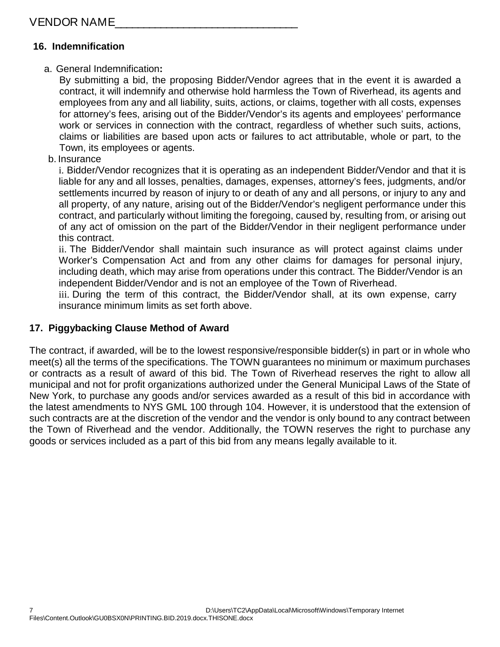#### **16. Indemnification**

#### a. General Indemnification**:**

By submitting a bid, the proposing Bidder/Vendor agrees that in the event it is awarded a contract, it will indemnify and otherwise hold harmless the Town of Riverhead, its agents and employees from any and all liability, suits, actions, or claims, together with all costs, expenses for attorney's fees, arising out of the Bidder/Vendor's its agents and employees' performance work or services in connection with the contract, regardless of whether such suits, actions, claims or liabilities are based upon acts or failures to act attributable, whole or part, to the Town, its employees or agents.

b. Insurance

i. Bidder/Vendor recognizes that it is operating as an independent Bidder/Vendor and that it is liable for any and all losses, penalties, damages, expenses, attorney's fees, judgments, and/or settlements incurred by reason of injury to or death of any and all persons, or injury to any and all property, of any nature, arising out of the Bidder/Vendor's negligent performance under this contract, and particularly without limiting the foregoing, caused by, resulting from, or arising out of any act of omission on the part of the Bidder/Vendor in their negligent performance under this contract.

ii. The Bidder/Vendor shall maintain such insurance as will protect against claims under Worker's Compensation Act and from any other claims for damages for personal injury, including death, which may arise from operations under this contract. The Bidder/Vendor is an independent Bidder/Vendor and is not an employee of the Town of Riverhead.

iii. During the term of this contract, the Bidder/Vendor shall, at its own expense, carry insurance minimum limits as set forth above.

#### **17. Piggybacking Clause Method of Award**

The contract, if awarded, will be to the lowest responsive/responsible bidder(s) in part or in whole who meet(s) all the terms of the specifications. The TOWN guarantees no minimum or maximum purchases or contracts as a result of award of this bid. The Town of Riverhead reserves the right to allow all municipal and not for profit organizations authorized under the General Municipal Laws of the State of New York, to purchase any goods and/or services awarded as a result of this bid in accordance with the latest amendments to NYS GML 100 through 104. However, it is understood that the extension of such contracts are at the discretion of the vendor and the vendor is only bound to any contract between the Town of Riverhead and the vendor. Additionally, the TOWN reserves the right to purchase any goods or services included as a part of this bid from any means legally available to it.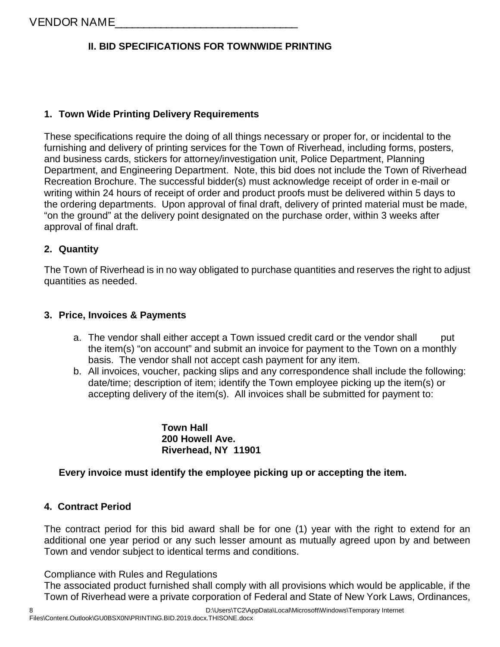#### **II. BID SPECIFICATIONS FOR TOWNWIDE PRINTING**

#### **1. Town Wide Printing Delivery Requirements**

These specifications require the doing of all things necessary or proper for, or incidental to the furnishing and delivery of printing services for the Town of Riverhead, including forms, posters, and business cards, stickers for attorney/investigation unit, Police Department, Planning Department, and Engineering Department. Note, this bid does not include the Town of Riverhead Recreation Brochure. The successful bidder(s) must acknowledge receipt of order in e-mail or writing within 24 hours of receipt of order and product proofs must be delivered within 5 days to the ordering departments. Upon approval of final draft, delivery of printed material must be made, "on the ground" at the delivery point designated on the purchase order, within 3 weeks after approval of final draft.

#### **2. Quantity**

The Town of Riverhead is in no way obligated to purchase quantities and reserves the right to adjust quantities as needed.

#### **3. Price, Invoices & Payments**

- a. The vendor shall either accept a Town issued credit card or the vendor shall put the item(s) "on account" and submit an invoice for payment to the Town on a monthly basis. The vendor shall not accept cash payment for any item.
- b. All invoices, voucher, packing slips and any correspondence shall include the following: date/time; description of item; identify the Town employee picking up the item(s) or accepting delivery of the item(s). All invoices shall be submitted for payment to:

**Town Hall 200 Howell Ave. Riverhead, NY 11901**

#### **Every invoice must identify the employee picking up or accepting the item.**

#### **4. Contract Period**

The contract period for this bid award shall be for one (1) year with the right to extend for an additional one year period or any such lesser amount as mutually agreed upon by and between Town and vendor subject to identical terms and conditions.

Compliance with Rules and Regulations

The associated product furnished shall comply with all provisions which would be applicable, if the Town of Riverhead were a private corporation of Federal and State of New York Laws, Ordinances,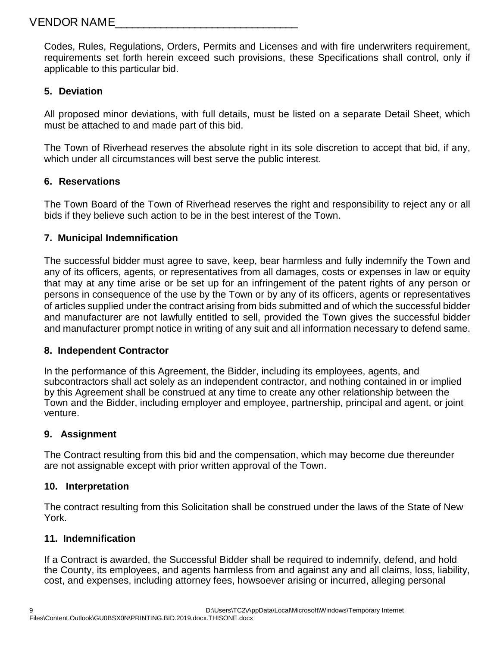Codes, Rules, Regulations, Orders, Permits and Licenses and with fire underwriters requirement, requirements set forth herein exceed such provisions, these Specifications shall control, only if applicable to this particular bid.

#### **5. Deviation**

All proposed minor deviations, with full details, must be listed on a separate Detail Sheet, which must be attached to and made part of this bid.

The Town of Riverhead reserves the absolute right in its sole discretion to accept that bid, if any, which under all circumstances will best serve the public interest.

#### **6. Reservations**

The Town Board of the Town of Riverhead reserves the right and responsibility to reject any or all bids if they believe such action to be in the best interest of the Town.

#### **7. Municipal Indemnification**

The successful bidder must agree to save, keep, bear harmless and fully indemnify the Town and any of its officers, agents, or representatives from all damages, costs or expenses in law or equity that may at any time arise or be set up for an infringement of the patent rights of any person or persons in consequence of the use by the Town or by any of its officers, agents or representatives of articles supplied under the contract arising from bids submitted and of which the successful bidder and manufacturer are not lawfully entitled to sell, provided the Town gives the successful bidder and manufacturer prompt notice in writing of any suit and all information necessary to defend same.

#### **8. Independent Contractor**

In the performance of this Agreement, the Bidder, including its employees, agents, and subcontractors shall act solely as an independent contractor, and nothing contained in or implied by this Agreement shall be construed at any time to create any other relationship between the Town and the Bidder, including employer and employee, partnership, principal and agent, or joint venture.

#### **9. Assignment**

The Contract resulting from this bid and the compensation, which may become due thereunder are not assignable except with prior written approval of the Town.

#### **10. Interpretation**

The contract resulting from this Solicitation shall be construed under the laws of the State of New York.

#### **11. Indemnification**

If a Contract is awarded, the Successful Bidder shall be required to indemnify, defend, and hold the County, its employees, and agents harmless from and against any and all claims, loss, liability, cost, and expenses, including attorney fees, howsoever arising or incurred, alleging personal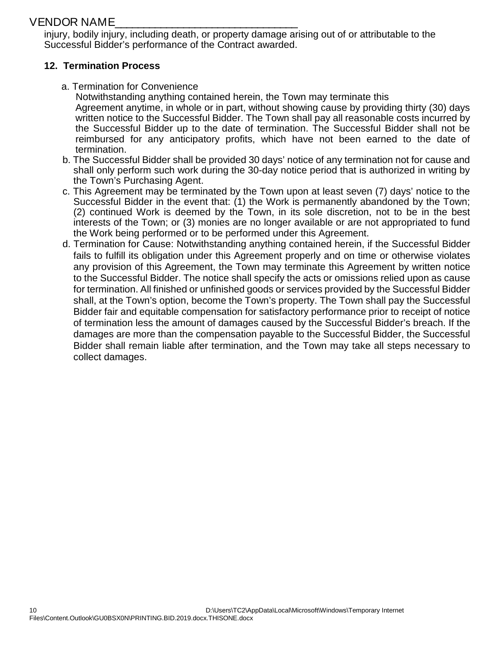#### VENDOR NAME\_\_\_\_\_\_\_\_\_\_\_\_\_\_\_\_\_\_\_\_\_\_\_\_\_\_\_\_\_\_\_\_

injury, bodily injury, including death, or property damage arising out of or attributable to the Successful Bidder's performance of the Contract awarded.

#### **12. Termination Process**

a. Termination for Convenience

 Notwithstanding anything contained herein, the Town may terminate this Agreement anytime, in whole or in part, without showing cause by providing thirty (30) days written notice to the Successful Bidder. The Town shall pay all reasonable costs incurred by the Successful Bidder up to the date of termination. The Successful Bidder shall not be reimbursed for any anticipatory profits, which have not been earned to the date of termination.

- b. The Successful Bidder shall be provided 30 days' notice of any termination not for cause and shall only perform such work during the 30-day notice period that is authorized in writing by the Town's Purchasing Agent.
- c. This Agreement may be terminated by the Town upon at least seven (7) days' notice to the Successful Bidder in the event that: (1) the Work is permanently abandoned by the Town; (2) continued Work is deemed by the Town, in its sole discretion, not to be in the best interests of the Town; or (3) monies are no longer available or are not appropriated to fund the Work being performed or to be performed under this Agreement.
- d. Termination for Cause: Notwithstanding anything contained herein, if the Successful Bidder fails to fulfill its obligation under this Agreement properly and on time or otherwise violates any provision of this Agreement, the Town may terminate this Agreement by written notice to the Successful Bidder. The notice shall specify the acts or omissions relied upon as cause for termination. All finished or unfinished goods or services provided by the Successful Bidder shall, at the Town's option, become the Town's property. The Town shall pay the Successful Bidder fair and equitable compensation for satisfactory performance prior to receipt of notice of termination less the amount of damages caused by the Successful Bidder's breach. If the damages are more than the compensation payable to the Successful Bidder, the Successful Bidder shall remain liable after termination, and the Town may take all steps necessary to collect damages.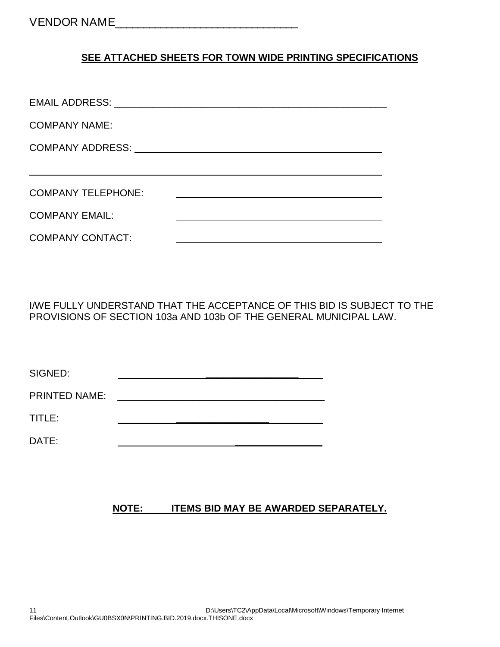#### **SEE ATTACHED SHEETS FOR TOWN WIDE PRINTING SPECIFICATIONS**

| <b>COMPANY TELEPHONE:</b> |  |
|---------------------------|--|
| <b>COMPANY EMAIL:</b>     |  |
| <b>COMPANY CONTACT:</b>   |  |

I/WE FULLY UNDERSTAND THAT THE ACCEPTANCE OF THIS BID IS SUBJECT TO THE PROVISIONS OF SECTION 103a AND 103b OF THE GENERAL MUNICIPAL LAW.

| SIGNED:              |  |  |
|----------------------|--|--|
| <b>PRINTED NAME:</b> |  |  |
| TITLE:               |  |  |
| DATE:                |  |  |

#### **NOTE: ITEMS BID MAY BE AWARDED SEPARATELY.**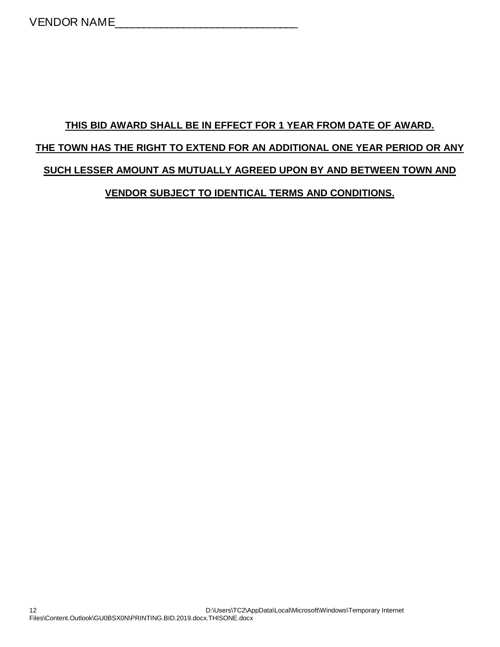# **THIS BID AWARD SHALL BE IN EFFECT FOR 1 YEAR FROM DATE OF AWARD. THE TOWN HAS THE RIGHT TO EXTEND FOR AN ADDITIONAL ONE YEAR PERIOD OR ANY SUCH LESSER AMOUNT AS MUTUALLY AGREED UPON BY AND BETWEEN TOWN AND VENDOR SUBJECT TO IDENTICAL TERMS AND CONDITIONS.**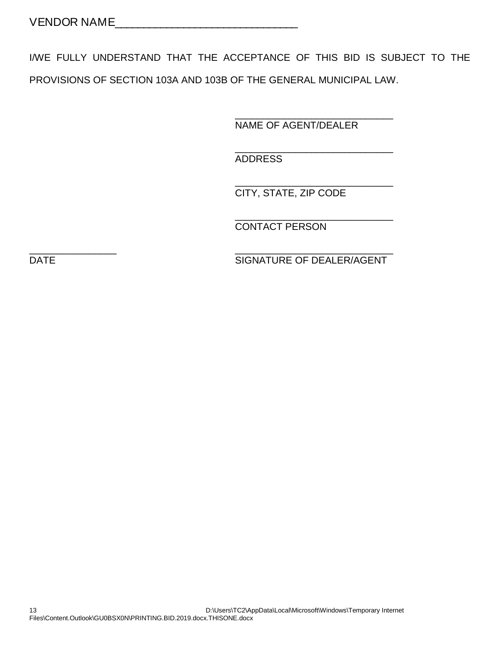I/WE FULLY UNDERSTAND THAT THE ACCEPTANCE OF THIS BID IS SUBJECT TO THE PROVISIONS OF SECTION 103A AND 103B OF THE GENERAL MUNICIPAL LAW.

> \_\_\_\_\_\_\_\_\_\_\_\_\_\_\_\_\_\_\_\_\_\_\_\_\_\_\_\_\_ NAME OF AGENT/DEALER

> \_\_\_\_\_\_\_\_\_\_\_\_\_\_\_\_\_\_\_\_\_\_\_\_\_\_\_\_\_

ADDRESS

\_\_\_\_\_\_\_\_\_\_\_\_\_\_\_\_\_\_\_\_\_\_\_\_\_\_\_\_\_ CITY, STATE, ZIP CODE

\_\_\_\_\_\_\_\_\_\_\_\_\_\_\_\_\_\_\_\_\_\_\_\_\_\_\_\_\_ CONTACT PERSON

\_\_\_\_\_\_\_\_\_\_\_\_\_\_\_\_ \_\_\_\_\_\_\_\_\_\_\_\_\_\_\_\_\_\_\_\_\_\_\_\_\_\_\_\_\_ DATE SIGNATURE OF DEALER/AGENT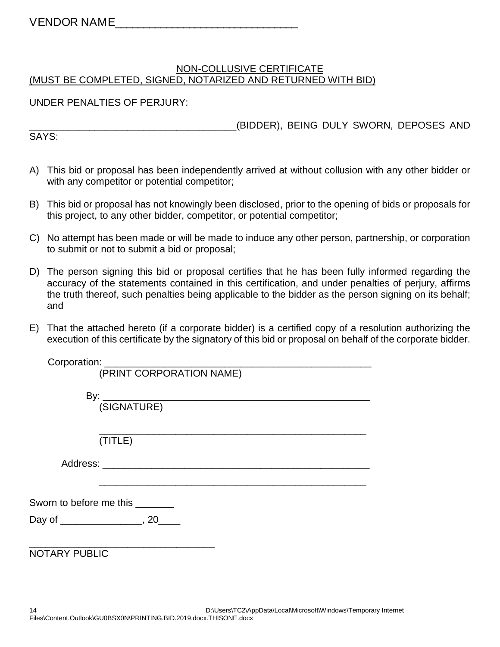#### NON-COLLUSIVE CERTIFICATE (MUST BE COMPLETED, SIGNED, NOTARIZED AND RETURNED WITH BID)

#### UNDER PENALTIES OF PERJURY:

\_\_\_\_\_\_\_\_\_\_\_\_\_\_\_\_\_\_\_\_\_\_\_\_\_\_\_\_\_\_\_\_\_\_\_\_\_\_(BIDDER), BEING DULY SWORN, DEPOSES AND

SAYS:

- A) This bid or proposal has been independently arrived at without collusion with any other bidder or with any competitor or potential competitor;
- B) This bid or proposal has not knowingly been disclosed, prior to the opening of bids or proposals for this project, to any other bidder, competitor, or potential competitor;
- C) No attempt has been made or will be made to induce any other person, partnership, or corporation to submit or not to submit a bid or proposal;
- D) The person signing this bid or proposal certifies that he has been fully informed regarding the accuracy of the statements contained in this certification, and under penalties of perjury, affirms the truth thereof, such penalties being applicable to the bidder as the person signing on its behalf; and
- E) That the attached hereto (if a corporate bidder) is a certified copy of a resolution authorizing the execution of this certificate by the signatory of this bid or proposal on behalf of the corporate bidder.

| (PRINT CORPORATION NAME)                   |
|--------------------------------------------|
|                                            |
|                                            |
|                                            |
|                                            |
|                                            |
| (TITLE)                                    |
|                                            |
|                                            |
|                                            |
|                                            |
| Sworn to before me this _______            |
|                                            |
| Day of _________________________, 20______ |
|                                            |
|                                            |
| <b>NOTARY PUBLIC</b>                       |
|                                            |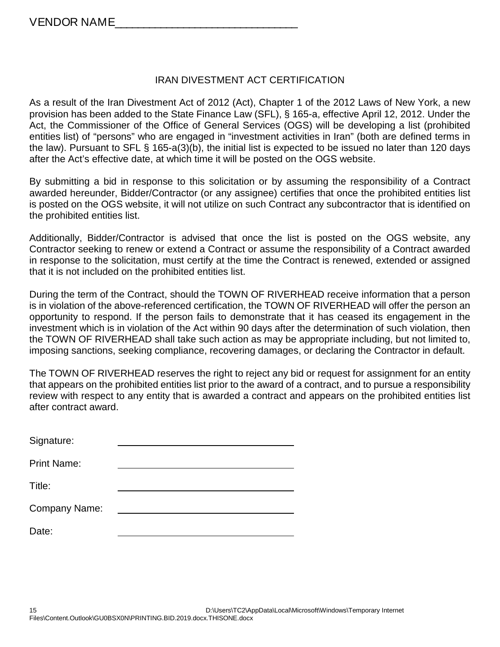#### IRAN DIVESTMENT ACT CERTIFICATION

As a result of the Iran Divestment Act of 2012 (Act), Chapter 1 of the 2012 Laws of New York, a new provision has been added to the State Finance Law (SFL), § 165-a, effective April 12, 2012. Under the Act, the Commissioner of the Office of General Services (OGS) will be developing a list (prohibited entities list) of "persons" who are engaged in "investment activities in Iran" (both are defined terms in the law). Pursuant to SFL § 165-a(3)(b), the initial list is expected to be issued no later than 120 days after the Act's effective date, at which time it will be posted on the OGS website.

By submitting a bid in response to this solicitation or by assuming the responsibility of a Contract awarded hereunder, Bidder/Contractor (or any assignee) certifies that once the prohibited entities list is posted on the OGS website, it will not utilize on such Contract any subcontractor that is identified on the prohibited entities list.

Additionally, Bidder/Contractor is advised that once the list is posted on the OGS website, any Contractor seeking to renew or extend a Contract or assume the responsibility of a Contract awarded in response to the solicitation, must certify at the time the Contract is renewed, extended or assigned that it is not included on the prohibited entities list.

During the term of the Contract, should the TOWN OF RIVERHEAD receive information that a person is in violation of the above-referenced certification, the TOWN OF RIVERHEAD will offer the person an opportunity to respond. If the person fails to demonstrate that it has ceased its engagement in the investment which is in violation of the Act within 90 days after the determination of such violation, then the TOWN OF RIVERHEAD shall take such action as may be appropriate including, but not limited to, imposing sanctions, seeking compliance, recovering damages, or declaring the Contractor in default.

The TOWN OF RIVERHEAD reserves the right to reject any bid or request for assignment for an entity that appears on the prohibited entities list prior to the award of a contract, and to pursue a responsibility review with respect to any entity that is awarded a contract and appears on the prohibited entities list after contract award.

| Signature:         |  |
|--------------------|--|
| <b>Print Name:</b> |  |
| Title:             |  |
| Company Name:      |  |
| Date:              |  |
|                    |  |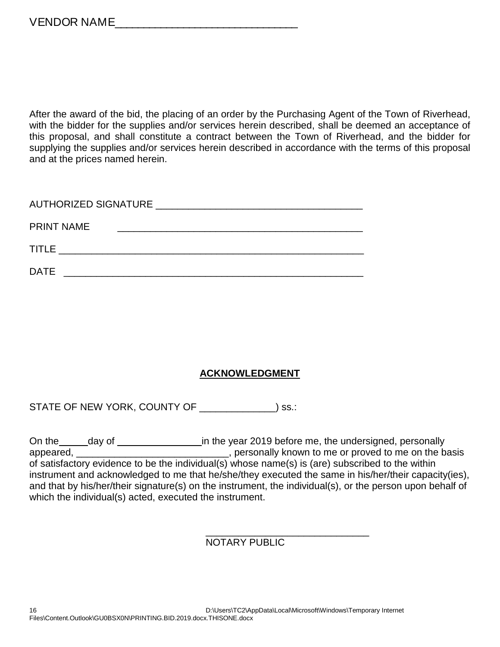After the award of the bid, the placing of an order by the Purchasing Agent of the Town of Riverhead, with the bidder for the supplies and/or services herein described, shall be deemed an acceptance of this proposal, and shall constitute a contract between the Town of Riverhead, and the bidder for supplying the supplies and/or services herein described in accordance with the terms of this proposal and at the prices named herein.

| AUTHORIZED SIGNATURE NEWSLEY AND THE RESERVE AND THE RESERVE AND THE RESERVE AND THE RESERVE AND THE RESERVE A |
|----------------------------------------------------------------------------------------------------------------|
| <b>PRINT NAME</b>                                                                                              |
| <b>TITLE</b>                                                                                                   |
| <b>DATE</b>                                                                                                    |

#### **ACKNOWLEDGMENT**

STATE OF NEW YORK, COUNTY OF \_\_\_\_\_\_\_\_\_\_\_\_\_) ss.:

On the \_\_\_\_\_day of \_\_\_\_\_\_\_\_\_\_\_\_\_\_\_\_\_\_\_in the year 2019 before me, the undersigned, personally appeared, \_\_\_\_\_\_\_\_\_\_\_\_\_\_\_\_\_\_\_\_\_\_\_\_\_\_\_\_\_\_\_\_\_, personally known to me or proved to me on the basis of satisfactory evidence to be the individual(s) whose name(s) is (are) subscribed to the within instrument and acknowledged to me that he/she/they executed the same in his/her/their capacity(ies), and that by his/her/their signature(s) on the instrument, the individual(s), or the person upon behalf of which the individual(s) acted, executed the instrument.

#### \_\_\_\_\_\_\_\_\_\_\_\_\_\_\_\_\_\_\_\_\_\_\_\_\_\_\_\_\_\_ NOTARY PUBLIC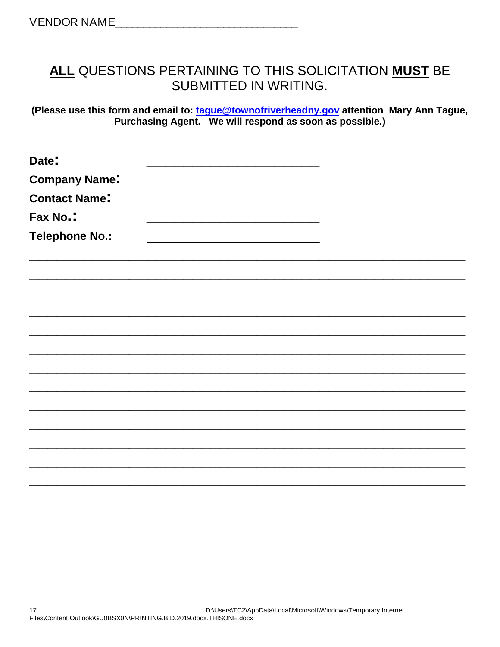## **ALL** QUESTIONS PERTAINING TO THIS SOLICITATION **MUST** BE SUBMITTED IN WRITING.

**(Please use this form and email to: [tague@townofriverheadny.gov](mailto:jacarroza@ehamptonny.gov) attention Mary Ann Tague, Purchasing Agent. We will respond as soon as possible.)**

| Date:                 |  |
|-----------------------|--|
| <b>Company Name:</b>  |  |
| <b>Contact Name:</b>  |  |
| Fax No.:              |  |
| <b>Telephone No.:</b> |  |
|                       |  |
|                       |  |
|                       |  |
|                       |  |
|                       |  |
|                       |  |
|                       |  |
|                       |  |
|                       |  |
|                       |  |
|                       |  |
|                       |  |
|                       |  |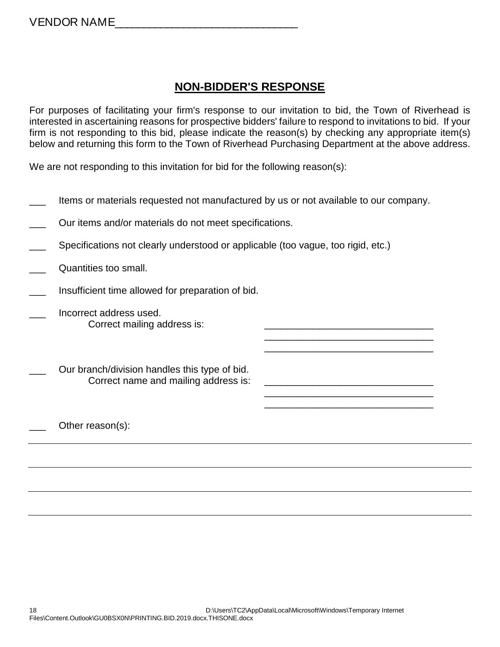## **NON-BIDDER'S RESPONSE**

For purposes of facilitating your firm's response to our invitation to bid, the Town of Riverhead is interested in ascertaining reasons for prospective bidders' failure to respond to invitations to bid. If your firm is not responding to this bid, please indicate the reason(s) by checking any appropriate item(s) below and returning this form to the Town of Riverhead Purchasing Department at the above address.

> \_\_\_\_\_\_\_\_\_\_\_\_\_\_\_\_\_\_\_\_\_\_\_\_\_\_\_\_\_\_\_ \_\_\_\_\_\_\_\_\_\_\_\_\_\_\_\_\_\_\_\_\_\_\_\_\_\_\_\_\_\_\_

> \_\_\_\_\_\_\_\_\_\_\_\_\_\_\_\_\_\_\_\_\_\_\_\_\_\_\_\_\_\_\_

We are not responding to this invitation for bid for the following reason(s):

- Items or materials requested not manufactured by us or not available to our company.
- Our items and/or materials do not meet specifications.
- Specifications not clearly understood or applicable (too vague, too rigid, etc.)
- Quantities too small.
- Insufficient time allowed for preparation of bid.
- \_\_\_ Incorrect address used. Correct mailing address is:
- Our branch/division handles this type of bid. Correct name and mailing address is:
- Other reason(s):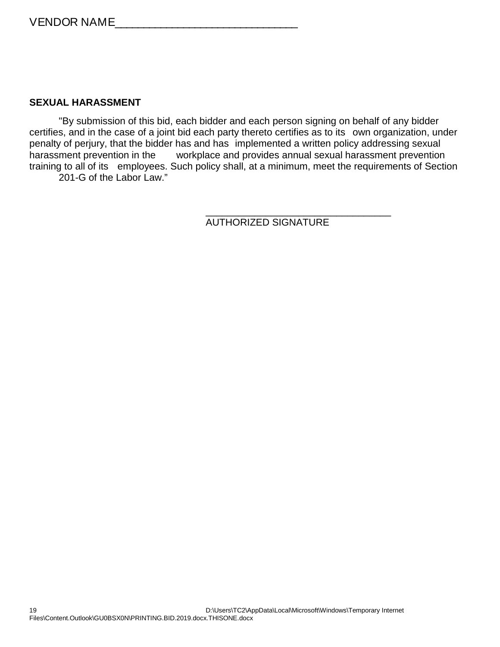#### **SEXUAL HARASSMENT**

"By submission of this bid, each bidder and each person signing on behalf of any bidder certifies, and in the case of a joint bid each party thereto certifies as to its own organization, under penalty of perjury, that the bidder has and has implemented a written policy addressing sexual harassment prevention in the workplace and provides annual sexual harassment prevention training to all of its employees. Such policy shall, at a minimum, meet the requirements of Section 201-G of the Labor Law."

> \_\_\_\_\_\_\_\_\_\_\_\_\_\_\_\_\_\_\_\_\_\_\_\_\_\_\_\_\_\_\_\_\_\_ AUTHORIZED SIGNATURE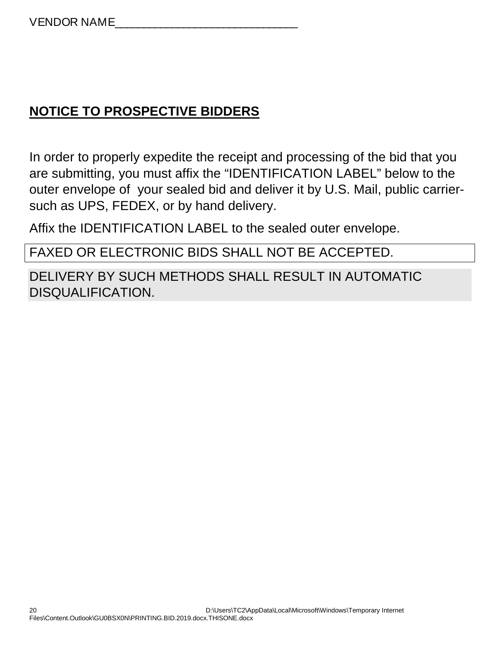# **NOTICE TO PROSPECTIVE BIDDERS**

In order to properly expedite the receipt and processing of the bid that you are submitting, you must affix the "IDENTIFICATION LABEL" below to the outer envelope of your sealed bid and deliver it by U.S. Mail, public carriersuch as UPS, FEDEX, or by hand delivery.

Affix the IDENTIFICATION LABEL to the sealed outer envelope.

FAXED OR ELECTRONIC BIDS SHALL NOT BE ACCEPTED.

DELIVERY BY SUCH METHODS SHALL RESULT IN AUTOMATIC DISQUALIFICATION.